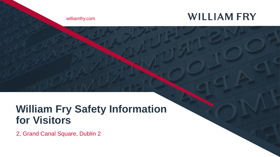## **WILLIAM FRY**

williamfry.com

# **William Fry Safety Information for Visitors**

2, Grand Canal Square, Dublin 2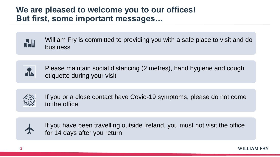#### **We are pleased to welcome you to our offices! But first, some important messages…**





Please maintain social distancing (2 metres), hand hygiene and cough etiquette during your visit



If you or a close contact have Covid-19 symptoms, please do not come to the office



If you have been travelling outside Ireland, you must not visit the office for 14 days after you return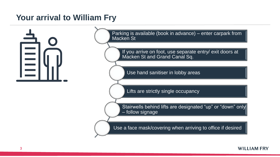### **Your arrival to William Fry**



#### **WILLIAM FRY**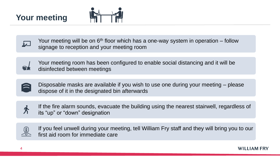





Your meeting will be on  $6<sup>th</sup>$  floor which has a one-way system in operation – follow signage to reception and your meeting room





Disposable masks are available if you wish to use one during your meeting – please dispose of it in the designated bin afterwards





If you feel unwell during your meeting, tell William Fry staff and they will bring you to our first aid room for immediate care